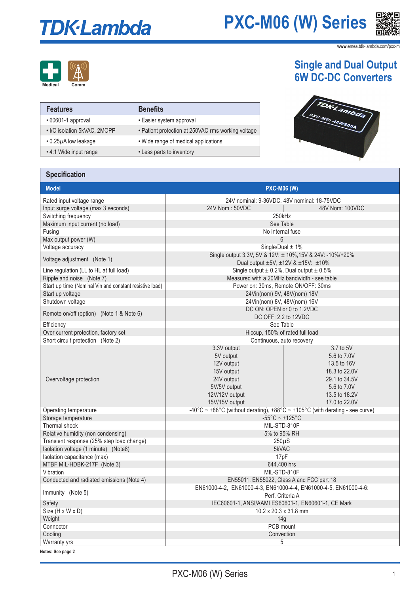# **TDK-Lambda**

### **PXC-M06 (W) Series**



**www.**emea.tdk-lambda.com/pxc-m



| <b>Features</b>                  | <b>Benefits</b>                                    |
|----------------------------------|----------------------------------------------------|
| • 60601-1 approval               | • Easier system approval                           |
| • I/O isolation 5kVAC, 2MOPP     | • Patient protection at 250VAC rms working voltage |
| $\cdot$ 0.25 $\mu$ A low leakage | • Wide range of medical applications               |
| • 4:1 Wide input range           | • Less parts to inventory                          |

### **Single and Dual Output 6W DC-DC Converters**



#### **Specification**

| <b>Model</b><br><b>PXC-M06 (W)</b>                      |                                                                                                                        |                                                                                                                            |  |
|---------------------------------------------------------|------------------------------------------------------------------------------------------------------------------------|----------------------------------------------------------------------------------------------------------------------------|--|
| Rated input voltage range                               | 24V nominal: 9-36VDC, 48V nominal: 18-75VDC                                                                            |                                                                                                                            |  |
| Input surge voltage (max 3 seconds)                     | 24V Nom: 50VDC<br>48V Nom: 100VDC                                                                                      |                                                                                                                            |  |
| Switching frequency                                     | 250kHz                                                                                                                 |                                                                                                                            |  |
| Maximum input current (no load)                         | See Table                                                                                                              |                                                                                                                            |  |
| Fusing                                                  | No internal fuse                                                                                                       |                                                                                                                            |  |
| Max output power (W)                                    | $6\phantom{a}$                                                                                                         |                                                                                                                            |  |
| Voltage accuracy                                        | Single/Dual $\pm$ 1%                                                                                                   |                                                                                                                            |  |
| Voltage adjustment (Note 1)                             | Single output 3.3V, 5V & 12V: ± 10%, 15V & 24V: -10%/+20%<br>Dual output ±5V, ±12V & ±15V: ±10%                        |                                                                                                                            |  |
| Line regulation (LL to HL at full load)                 | Single output $\pm$ 0.2%, Dual output $\pm$ 0.5%                                                                       |                                                                                                                            |  |
| Ripple and noise (Note 7)                               | Measured with a 20MHz bandwidth - see table                                                                            |                                                                                                                            |  |
| Start up time (Nominal Vin and constant resistive load) | Power on: 30ms, Remote ON/OFF: 30ms                                                                                    |                                                                                                                            |  |
| Start up voltage                                        | 24Vin(nom) 9V, 48V(nom) 18V                                                                                            |                                                                                                                            |  |
| Shutdown voltage                                        | 24Vin(nom) 8V, 48V(nom) 16V                                                                                            |                                                                                                                            |  |
|                                                         | DC ON: OPEN or 0 to 1.2VDC                                                                                             |                                                                                                                            |  |
| Remote on/off (option) (Note 1 & Note 6)                | DC OFF: 2.2 to 12VDC                                                                                                   |                                                                                                                            |  |
| Efficiency                                              | See Table                                                                                                              |                                                                                                                            |  |
| Over current protection, factory set                    | Hiccup, 150% of rated full load                                                                                        |                                                                                                                            |  |
| Short circuit protection (Note 2)                       | Continuous, auto recovery                                                                                              |                                                                                                                            |  |
| Overvoltage protection                                  | 3.3V output<br>5V output<br>12V output<br>15V output<br>24V output<br>5V/5V output<br>12V/12V output<br>15V/15V output | 3.7 to 5V<br>5.6 to 7.0V<br>13.5 to 16V<br>18.3 to 22.0V<br>29.1 to 34.5V<br>5.6 to 7.0V<br>13.5 to 18.2V<br>17.0 to 22.0V |  |
| Operating temperature                                   | -40°C ~ +88°C (without derating), +88°C ~ +105°C (with derating - see curve)                                           |                                                                                                                            |  |
| Storage temperature                                     | $-55^{\circ}$ C ~ +125 $^{\circ}$ C                                                                                    |                                                                                                                            |  |
| Thermal shock                                           | MIL-STD-810F                                                                                                           |                                                                                                                            |  |
| Relative humidity (non condensing)                      | 5% to 95% RH                                                                                                           |                                                                                                                            |  |
| Transient response (25% step load change)               | $250\mu S$                                                                                                             |                                                                                                                            |  |
| Isolation voltage (1 minute) (Note8)                    | 5kVAC                                                                                                                  |                                                                                                                            |  |
| Isolation capacitance (max)                             | 17pF                                                                                                                   |                                                                                                                            |  |
| MTBF MIL-HDBK-217F (Note 3)                             | 644,400 hrs                                                                                                            |                                                                                                                            |  |
| Vibration                                               | MIL-STD-810F                                                                                                           |                                                                                                                            |  |
| Conducted and radiated emissions (Note 4)               | EN55011, EN55022, Class A and FCC part 18                                                                              |                                                                                                                            |  |
| Immunity (Note 5)                                       | EN61000-4-2, EN61000-4-3, EN61000-4-4, EN61000-4-5, EN61000-4-6:                                                       |                                                                                                                            |  |
|                                                         | Perf. Criteria A                                                                                                       |                                                                                                                            |  |
| Safety                                                  | IEC60601-1, ANSI/AAMI ES60601-1, EN60601-1, CE Mark                                                                    |                                                                                                                            |  |
| Size (H x W x D)                                        | 10.2 x 20.3 x 31.8 mm<br>14g                                                                                           |                                                                                                                            |  |
| Weight<br>Connector                                     | PCB mount                                                                                                              |                                                                                                                            |  |
| Cooling                                                 | Convection                                                                                                             |                                                                                                                            |  |
| Warranty yrs                                            |                                                                                                                        |                                                                                                                            |  |
|                                                         | 5                                                                                                                      |                                                                                                                            |  |

**Notes: See page 2**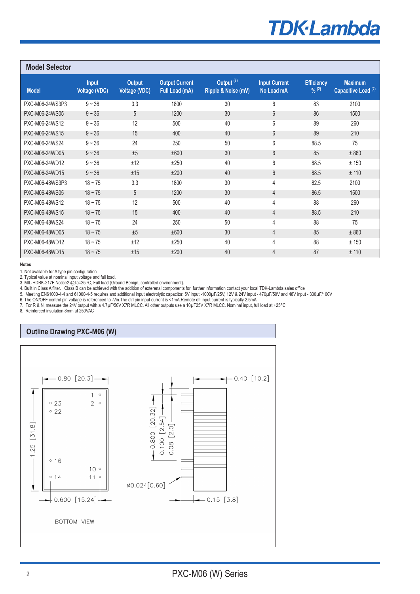### **TDK**·Lambda

Pin 11 is "NC" for

| <b>Model Selector</b> |                                      |                                       |                                         |                                              |                                    |                             |                                                  |
|-----------------------|--------------------------------------|---------------------------------------|-----------------------------------------|----------------------------------------------|------------------------------------|-----------------------------|--------------------------------------------------|
| <b>Model</b>          | <b>Input</b><br><b>Voltage (VDC)</b> | <b>Output</b><br><b>Voltage (VDC)</b> | <b>Output Current</b><br>Full Load (mA) | Output <sup>(7)</sup><br>Ripple & Noise (mV) | <b>Input Current</b><br>No Load mA | <b>Efficiency</b><br>9/6(2) | <b>Maximum</b><br>Capacitive Load <sup>(2)</sup> |
| PXC-M06-24WS3P3       | $9 - 36$                             | 3.3                                   | 1800                                    | 30                                           | 6                                  | 83                          | 2100                                             |
| PXC-M06-24WS05        | $9 - 36$                             | 5                                     | 1200                                    | 30                                           | 6                                  | 86                          | 1500                                             |
| PXC-M06-24WS12        | $9 - 36$                             | 12                                    | 500                                     | 40                                           | 6                                  | 89                          | 260                                              |
| PXC-M06-24WS15        | $9 - 36$                             | 15                                    | 400                                     | 40                                           | 6                                  | 89                          | 210                                              |
| PXC-M06-24WS24        | $9 - 36$                             | 24                                    | 250                                     | 50                                           | 6                                  | 88.5                        | 75                                               |
| PXC-M06-24WD05        | $9 - 36$                             | ±5                                    | ±600                                    | 30                                           | 6                                  | 85                          | ± 860                                            |
| PXC-M06-24WD12        | $9 - 36$                             | ±12                                   | ±250                                    | 40                                           | 6                                  | 88.5                        | ±150                                             |
| PXC-M06-24WD15        | $9 - 36$                             | ±15                                   | ±200                                    | 40                                           | 6                                  | 88.5                        | ± 110                                            |
| PXC-M06-48WS3P3       | $18 - 75$                            | 3.3                                   | 1800                                    | 30                                           | 4                                  | 82.5                        | 2100                                             |
| PXC-M06-48WS05        | $18 - 75$                            | 5                                     | 1200                                    | 30                                           | 4                                  | 86.5                        | 1500                                             |
| PXC-M06-48WS12        | $18 - 75$                            | 12                                    | 500                                     | 40                                           | 4                                  | 88                          | 260                                              |
| PXC-M06-48WS15        | $18 - 75$                            | 15                                    | 400                                     | 40                                           | $\overline{4}$                     | 88.5                        | 210                                              |
| PXC-M06-48WS24        | $18 - 75$                            | 24                                    | 250                                     | 50                                           | 4                                  | 88                          | 75                                               |
| PXC-M06-48WD05        | $18 - 75$                            | ±5                                    | ±600                                    | 30                                           | $\overline{4}$                     | 85                          | ± 860                                            |
| PXC-M06-48WD12        | $18 - 75$                            | ±12                                   | ±250                                    | 40                                           | 4                                  | 88                          | ±150                                             |
| PXC-M06-48WD15        | $18 - 75$                            | ±15                                   | ±200                                    | 40                                           | $\overline{4}$                     | 87                          | ± 110                                            |

**Notes**

1. Not available for A type pin configuration 

2. Typical value at nominal input voltage and full load.

3. MIL-HDBK-217F Notice2 @Ta=25 °C, Full load (Ground Benign, controlled environment).

4. Built in Class A filter. Class B can be achieved with the addition of exterenal components for further information contact your local TDK-Lambda sales office

5. Meeting EN61000-4-4 and 61000-4-5 requires and additional input electrolytic capacitor: 5V input -1000µF/25V, 12V & 24V input - 470µF/50V and 48V input - 330µF/100V

6. The ON/OFF control pin voltage is referenced to -Vin.The ctrl pin input current is <1mA.Remote off input current is typically 2.5mA 7. For R & N, measure the 24V output with a 4.7µF/50V X7R MLCC. All other outputs use a 10µF25V X7R MLCC. Nominal input, full load at +25°C

8. Reinforced insulation 8mm at 250VAC

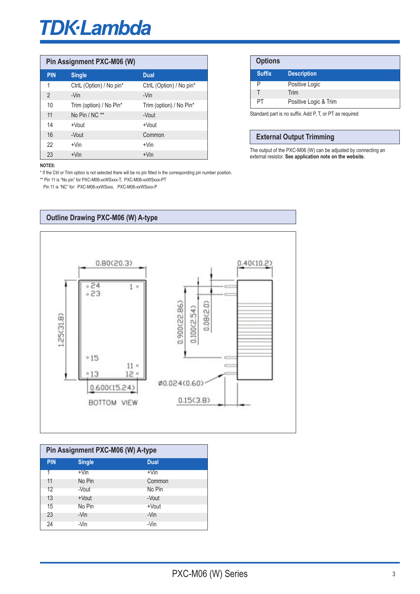## **TDK-Lambda**

| Pin Assignment PXC-M06 (W) |                          |                          |
|----------------------------|--------------------------|--------------------------|
| <b>PIN</b>                 | <b>Single</b>            | <b>Dual</b>              |
| 1                          | CtrlL (Option) / No pin* | CtrlL (Option) / No pin* |
| $\overline{2}$             | -Vin<br>$-Vin$           |                          |
| 10                         | Trim (option) / No Pin*  | Trim (option) / No Pin*  |
| 11                         | No Pin / NC **           | -Vout                    |
| 14                         | $+$ Vout                 | $+$ Vout                 |
| 16                         | -Vout                    | Common                   |
| 22                         | $+V$ in                  | $+V$ in                  |
| 23                         | $+V$ in                  | $+V$ in                  |

| <b>Options</b> |                       |
|----------------|-----------------------|
| <b>Suffix</b>  | <b>Description</b>    |
| P              | Positive Logic        |
|                | Trim                  |
| PТ             | Positive Logic & Trim |
|                |                       |

Standard part is no suffix. Add P, T, or PT as required 

#### **External Output Trimming**

The output of the PXC-M06 (W) can be adjusted by connecting an external resistor. **See application note on the website.**

#### **NOTES:**

\* If the Ctrl or Trim option is not selected there will be no pin fitted in the corresponding pin number position. \*\* Pin 11 is "No pin" for PXC-M06-xxWSxxx-T, PXC-M06-xxWSxxx-PT

Pin 11 is "NC" for: PXC-M06-xxWSxxx, PXC-M06-xxWSxxx-P



| Pin Assignment PXC-M06 (W) A-type |               |             |  |
|-----------------------------------|---------------|-------------|--|
| <b>PIN</b>                        | <b>Single</b> | <b>Dual</b> |  |
|                                   | $+V$ in       | $+V$ in     |  |
| 11                                | No Pin        | Common      |  |
| 12                                | -Vout         | No Pin      |  |
| 13                                | +Vout         | -Vout       |  |
| 15                                | No Pin        | +Vout       |  |
| 23                                | -Vin          | -Vin        |  |
| 24                                | -Vin          | -Vin        |  |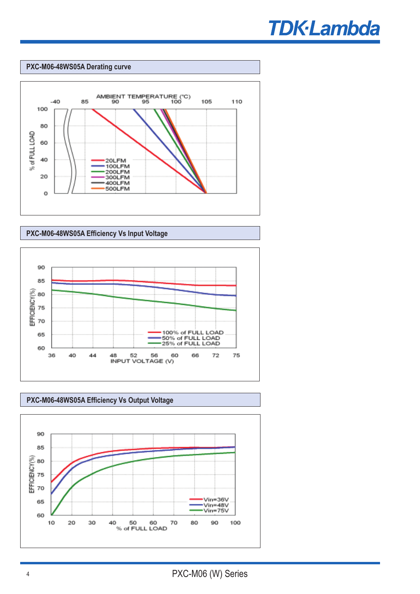

#### **PXC-M06-48WS05A Derating curve**







**PXC-M06-48WS05A Efficiency Vs Output Voltage**